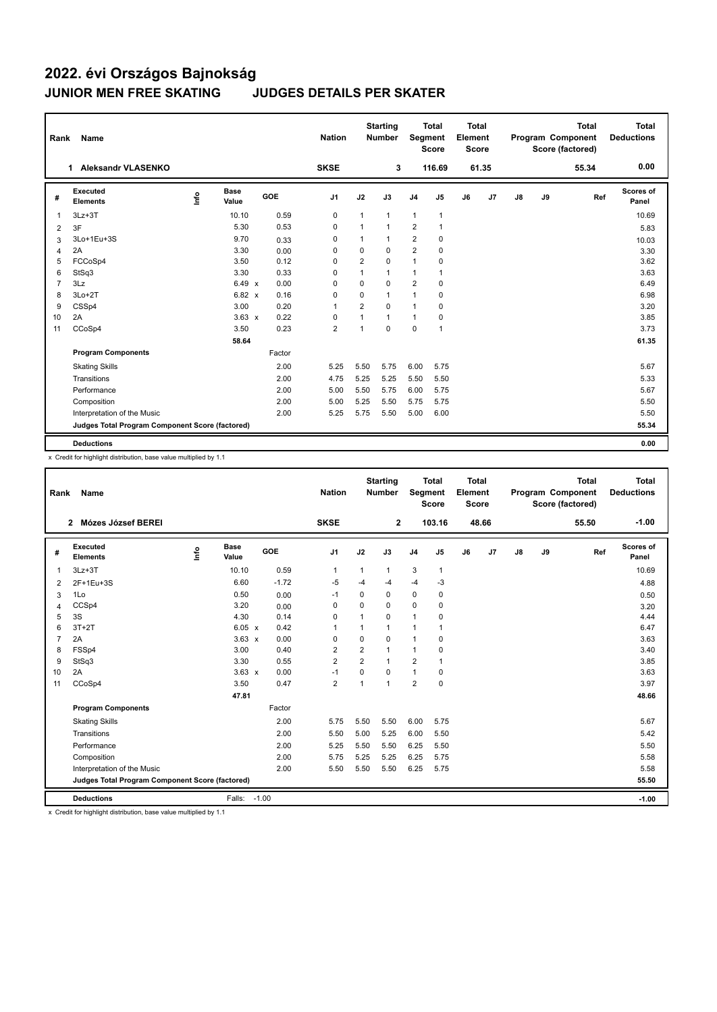## **2022. évi Országos Bajnokság JUNIOR MEN FREE SKATING JUDGES DETAILS PER SKATER**

| Rank           | Name                                            |      |                      |            | <b>Nation</b>  |                | <b>Starting</b><br><b>Number</b> | Segment        | <b>Total</b><br><b>Score</b> | Total<br>Element<br><b>Score</b> |       |               |    | <b>Total</b><br>Program Component<br>Score (factored) | <b>Total</b><br><b>Deductions</b> |
|----------------|-------------------------------------------------|------|----------------------|------------|----------------|----------------|----------------------------------|----------------|------------------------------|----------------------------------|-------|---------------|----|-------------------------------------------------------|-----------------------------------|
|                | <b>Aleksandr VLASENKO</b><br>1.                 |      |                      |            | <b>SKSE</b>    |                | 3                                |                | 116.69                       |                                  | 61.35 |               |    | 55.34                                                 | 0.00                              |
| #              | Executed<br><b>Elements</b>                     | ١nf٥ | <b>Base</b><br>Value | <b>GOE</b> | J <sub>1</sub> | J2             | J3                               | J <sub>4</sub> | J5                           | J6                               | J7    | $\mathsf{J}8$ | J9 | Ref                                                   | Scores of<br>Panel                |
| $\overline{1}$ | $3Lz + 3T$                                      |      | 10.10                | 0.59       | $\mathbf 0$    | $\mathbf{1}$   | $\mathbf{1}$                     | $\mathbf{1}$   | $\mathbf{1}$                 |                                  |       |               |    |                                                       | 10.69                             |
| 2              | 3F                                              |      | 5.30                 | 0.53       | 0              | $\mathbf{1}$   | $\overline{1}$                   | $\overline{2}$ | $\mathbf{1}$                 |                                  |       |               |    |                                                       | 5.83                              |
| 3              | 3Lo+1Eu+3S                                      |      | 9.70                 | 0.33       | 0              | $\mathbf{1}$   | $\mathbf{1}$                     | 2              | 0                            |                                  |       |               |    |                                                       | 10.03                             |
| 4              | 2A                                              |      | 3.30                 | 0.00       | $\Omega$       | $\mathbf 0$    | $\Omega$                         | $\overline{2}$ | $\pmb{0}$                    |                                  |       |               |    |                                                       | 3.30                              |
| 5              | FCCoSp4                                         |      | 3.50                 | 0.12       | $\Omega$       | $\overline{2}$ | $\Omega$                         | $\mathbf{1}$   | $\mathbf 0$                  |                                  |       |               |    |                                                       | 3.62                              |
| 6              | StSq3                                           |      | 3.30                 | 0.33       | $\Omega$       | $\mathbf{1}$   | $\mathbf{1}$                     | $\mathbf{1}$   | $\overline{1}$               |                                  |       |               |    |                                                       | 3.63                              |
| $\overline{7}$ | 3Lz                                             |      | $6.49 \times$        | 0.00       | $\Omega$       | $\Omega$       | $\Omega$                         | $\overline{2}$ | 0                            |                                  |       |               |    |                                                       | 6.49                              |
| 8              | $3Lo+2T$                                        |      | 6.82 x               | 0.16       | 0              | 0              | $\mathbf{1}$                     | $\mathbf{1}$   | 0                            |                                  |       |               |    |                                                       | 6.98                              |
| 9              | CSSp4                                           |      | 3.00                 | 0.20       | $\overline{1}$ | $\overline{2}$ | $\Omega$                         | $\mathbf{1}$   | 0                            |                                  |       |               |    |                                                       | 3.20                              |
| 10             | 2A                                              |      | $3.63 \times$        | 0.22       | $\mathbf 0$    | 1              | $\overline{1}$                   | $\mathbf{1}$   | $\mathbf 0$                  |                                  |       |               |    |                                                       | 3.85                              |
| 11             | CCoSp4                                          |      | 3.50                 | 0.23       | $\overline{2}$ | 1              | $\Omega$                         | $\mathbf 0$    | $\overline{1}$               |                                  |       |               |    |                                                       | 3.73                              |
|                |                                                 |      | 58.64                |            |                |                |                                  |                |                              |                                  |       |               |    |                                                       | 61.35                             |
|                | <b>Program Components</b>                       |      |                      | Factor     |                |                |                                  |                |                              |                                  |       |               |    |                                                       |                                   |
|                | <b>Skating Skills</b>                           |      |                      | 2.00       | 5.25           | 5.50           | 5.75                             | 6.00           | 5.75                         |                                  |       |               |    |                                                       | 5.67                              |
|                | Transitions                                     |      |                      | 2.00       | 4.75           | 5.25           | 5.25                             | 5.50           | 5.50                         |                                  |       |               |    |                                                       | 5.33                              |
|                | Performance                                     |      |                      | 2.00       | 5.00           | 5.50           | 5.75                             | 6.00           | 5.75                         |                                  |       |               |    |                                                       | 5.67                              |
|                | Composition                                     |      |                      | 2.00       | 5.00           | 5.25           | 5.50                             | 5.75           | 5.75                         |                                  |       |               |    |                                                       | 5.50                              |
|                | Interpretation of the Music                     |      |                      | 2.00       | 5.25           | 5.75           | 5.50                             | 5.00           | 6.00                         |                                  |       |               |    |                                                       | 5.50                              |
|                | Judges Total Program Component Score (factored) |      |                      |            |                |                |                                  |                |                              |                                  |       |               |    |                                                       | 55.34                             |
|                | <b>Deductions</b>                               |      |                      |            |                |                |                                  |                |                              |                                  |       |               |    |                                                       | 0.00                              |

x Credit for highlight distribution, base value multiplied by 1.1

| Rank           | Name                                            |    |                      |            | <b>Nation</b>  |                | <b>Starting</b><br><b>Number</b> | Segment        | <b>Total</b><br><b>Score</b> | <b>Total</b><br>Element<br><b>Score</b> |       |               |    | <b>Total</b><br>Program Component<br>Score (factored) | <b>Total</b><br><b>Deductions</b> |
|----------------|-------------------------------------------------|----|----------------------|------------|----------------|----------------|----------------------------------|----------------|------------------------------|-----------------------------------------|-------|---------------|----|-------------------------------------------------------|-----------------------------------|
|                | Mózes József BEREI<br>$\mathbf{2}$              |    |                      |            | <b>SKSE</b>    |                | $\mathbf{2}$                     |                | 103.16                       |                                         | 48.66 |               |    | 55.50                                                 | $-1.00$                           |
| #              | Executed<br><b>Elements</b>                     | ۴ů | <b>Base</b><br>Value | <b>GOE</b> | J <sub>1</sub> | J2             | J3                               | J <sub>4</sub> | J5                           | J6                                      | J7    | $\mathsf{J}8$ | J9 | Ref                                                   | Scores of<br>Panel                |
| 1              | $3Lz + 3T$                                      |    | 10.10                | 0.59       | 1              | 1              | $\mathbf{1}$                     | 3              | 1                            |                                         |       |               |    |                                                       | 10.69                             |
| 2              | 2F+1Eu+3S                                       |    | 6.60                 | $-1.72$    | $-5$           | $-4$           | $-4$                             | $-4$           | $-3$                         |                                         |       |               |    |                                                       | 4.88                              |
| 3              | 1Lo                                             |    | 0.50                 | 0.00       | $-1$           | 0              | $\Omega$                         | $\Omega$       | 0                            |                                         |       |               |    |                                                       | 0.50                              |
| 4              | CCSp4                                           |    | 3.20                 | 0.00       | 0              | 0              | 0                                | $\mathbf 0$    | $\mathbf 0$                  |                                         |       |               |    |                                                       | 3.20                              |
| 5              | 3S                                              |    | 4.30                 | 0.14       | $\Omega$       | 1              | $\Omega$                         | $\mathbf{1}$   | 0                            |                                         |       |               |    |                                                       | 4.44                              |
| 6              | $3T+2T$                                         |    | $6.05 \times$        | 0.42       | 1              | 1              | 1                                | $\mathbf{1}$   | 1                            |                                         |       |               |    |                                                       | 6.47                              |
| $\overline{7}$ | 2A                                              |    | $3.63 \times$        | 0.00       | $\Omega$       | $\Omega$       | $\Omega$                         | $\mathbf{1}$   | $\Omega$                     |                                         |       |               |    |                                                       | 3.63                              |
| 8              | FSSp4                                           |    | 3.00                 | 0.40       | 2              | 2              | 1                                | $\mathbf{1}$   | 0                            |                                         |       |               |    |                                                       | 3.40                              |
| 9              | StSq3                                           |    | 3.30                 | 0.55       | $\overline{2}$ | $\overline{2}$ | $\overline{1}$                   | $\overline{2}$ | 1                            |                                         |       |               |    |                                                       | 3.85                              |
| 10             | 2A                                              |    | $3.63 \times$        | 0.00       | $-1$           | 0              | 0                                | $\mathbf{1}$   | 0                            |                                         |       |               |    |                                                       | 3.63                              |
| 11             | CCoSp4                                          |    | 3.50                 | 0.47       | $\overline{2}$ | 1              | 1                                | $\overline{2}$ | 0                            |                                         |       |               |    |                                                       | 3.97                              |
|                |                                                 |    | 47.81                |            |                |                |                                  |                |                              |                                         |       |               |    |                                                       | 48.66                             |
|                | <b>Program Components</b>                       |    |                      | Factor     |                |                |                                  |                |                              |                                         |       |               |    |                                                       |                                   |
|                | <b>Skating Skills</b>                           |    |                      | 2.00       | 5.75           | 5.50           | 5.50                             | 6.00           | 5.75                         |                                         |       |               |    |                                                       | 5.67                              |
|                | Transitions                                     |    |                      | 2.00       | 5.50           | 5.00           | 5.25                             | 6.00           | 5.50                         |                                         |       |               |    |                                                       | 5.42                              |
|                | Performance                                     |    |                      | 2.00       | 5.25           | 5.50           | 5.50                             | 6.25           | 5.50                         |                                         |       |               |    |                                                       | 5.50                              |
|                | Composition                                     |    |                      | 2.00       | 5.75           | 5.25           | 5.25                             | 6.25           | 5.75                         |                                         |       |               |    |                                                       | 5.58                              |
|                | Interpretation of the Music                     |    |                      | 2.00       | 5.50           | 5.50           | 5.50                             | 6.25           | 5.75                         |                                         |       |               |    |                                                       | 5.58                              |
|                | Judges Total Program Component Score (factored) |    |                      |            |                |                |                                  |                |                              |                                         |       | 55.50         |    |                                                       |                                   |
|                | <b>Deductions</b>                               |    | Falls: -1.00         |            |                |                |                                  |                |                              |                                         |       |               |    |                                                       | $-1.00$                           |

x Credit for highlight distribution, base value multiplied by 1.1